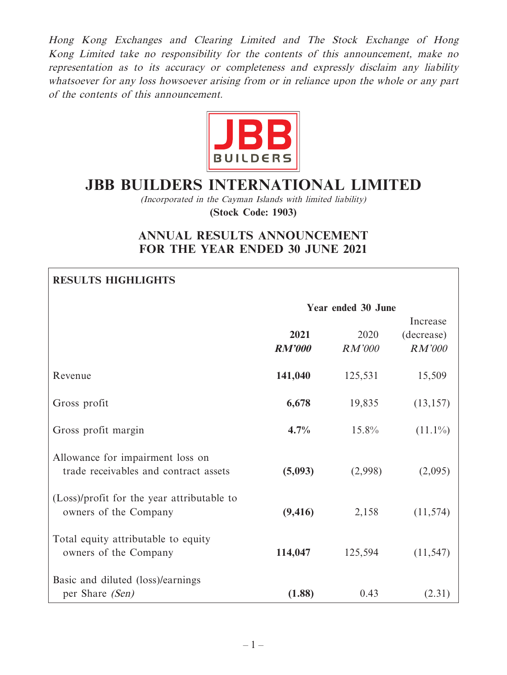Hong Kong Exchanges and Clearing Limited and The Stock Exchange of Hong Kong Limited take no responsibility for the contents of this announcement, make no representation as to its accuracy or completeness and expressly disclaim any liability whatsoever for any loss howsoever arising from or in reliance upon the whole or any part of the contents of this announcement.



# **JBB BUILDERS INTERNATIONAL LIMITED**

(Incorporated in the Cayman Islands with limited liability)

**(Stock Code: 1903)**

# **ANNUAL RESULTS ANNOUNCEMENT FOR THE YEAR ENDED 30 JUNE 2021**

# **RESULTS HIGHLIGHTS**

|                                                                           | Year ended 30 June    |                       |                                         |  |
|---------------------------------------------------------------------------|-----------------------|-----------------------|-----------------------------------------|--|
|                                                                           | 2021<br><b>RM'000</b> | 2020<br><b>RM'000</b> | Increase<br>(decrease)<br><b>RM'000</b> |  |
| Revenue                                                                   | 141,040               | 125,531               | 15,509                                  |  |
| Gross profit                                                              | 6,678                 | 19,835                | (13, 157)                               |  |
| Gross profit margin                                                       | 4.7%                  | $15.8\%$              | $(11.1\%)$                              |  |
| Allowance for impairment loss on<br>trade receivables and contract assets | (5,093)               | (2,998)               | (2,095)                                 |  |
| (Loss)/profit for the year attributable to<br>owners of the Company       | (9, 416)              | 2,158                 | (11, 574)                               |  |
| Total equity attributable to equity<br>owners of the Company              | 114,047               | 125,594               | (11, 547)                               |  |
| Basic and diluted (loss)/earnings<br>per Share (Sen)                      | (1.88)                | 0.43                  | (2.31)                                  |  |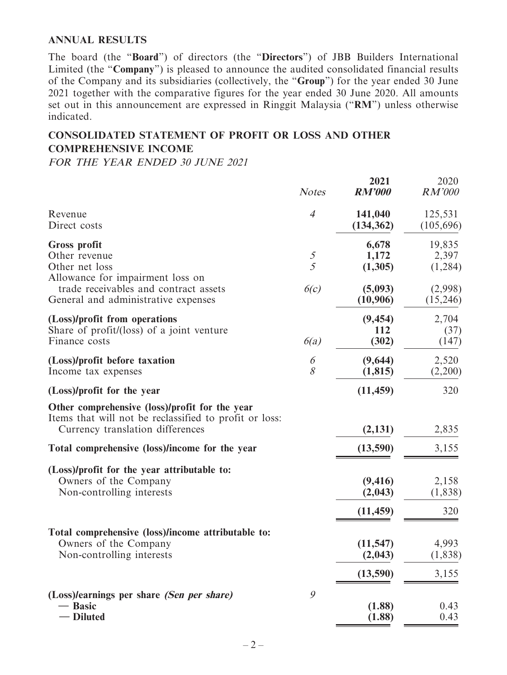#### **ANNUAL RESULTS**

The board (the "**Board**") of directors (the "**Directors**") of JBB Builders International Limited (the "**Company**") is pleased to announce the audited consolidated financial results of the Company and its subsidiaries (collectively, the "**Group**") for the year ended 30 June 2021 together with the comparative figures for the year ended 30 June 2020. All amounts set out in this announcement are expressed in Ringgit Malaysia ("**RM**") unless otherwise indicated.

### **CONSOLIDATED STATEMENT OF PROFIT OR LOSS AND OTHER COMPREHENSIVE INCOME**

FOR THE YEAR ENDED 30 JUNE 2021

|                                                                                                                                              | <b>Notes</b>                     | 2021<br><b>RM'000</b>            | 2020<br>RM'000             |
|----------------------------------------------------------------------------------------------------------------------------------------------|----------------------------------|----------------------------------|----------------------------|
| Revenue<br>Direct costs                                                                                                                      | $\overline{4}$                   | 141,040<br>(134, 362)            | 125,531<br>(105, 696)      |
| Gross profit<br>Other revenue<br>Other net loss<br>Allowance for impairment loss on                                                          | $\mathcal{F}_{\mathcal{L}}$<br>5 | 6,678<br>1,172<br>(1,305)        | 19,835<br>2,397<br>(1,284) |
| trade receivables and contract assets<br>General and administrative expenses                                                                 | 6(c)                             | (5,093)<br>(10,906)              | (2,998)<br>(15,246)        |
| (Loss)/profit from operations<br>Share of profit/(loss) of a joint venture<br>Finance costs                                                  | 6(a)                             | (9, 454)<br>112<br>(302)         | 2,704<br>(37)<br>(147)     |
| (Loss)/profit before taxation<br>Income tax expenses                                                                                         | 6<br>8                           | (9,644)<br>(1, 815)              | 2,520<br>(2,200)           |
| (Loss)/profit for the year                                                                                                                   |                                  | (11, 459)                        | 320                        |
| Other comprehensive (loss)/profit for the year<br>Items that will not be reclassified to profit or loss:<br>Currency translation differences |                                  | (2, 131)                         | 2,835                      |
| Total comprehensive (loss)/income for the year                                                                                               |                                  | (13,590)                         | 3,155                      |
| (Loss)/profit for the year attributable to:<br>Owners of the Company<br>Non-controlling interests                                            |                                  | (9, 416)<br>(2,043)<br>(11, 459) | 2,158<br>(1,838)<br>320    |
| Total comprehensive (loss)/income attributable to:<br>Owners of the Company<br>Non-controlling interests                                     |                                  | (11, 547)<br>(2,043)             | 4,993<br>(1,838)           |
|                                                                                                                                              |                                  | (13,590)                         | 3,155                      |
| (Loss)/earnings per share (Sen per share)<br><b>Basic</b><br>- Diluted                                                                       | 9                                | (1.88)<br>(1.88)                 | 0.43<br>0.43               |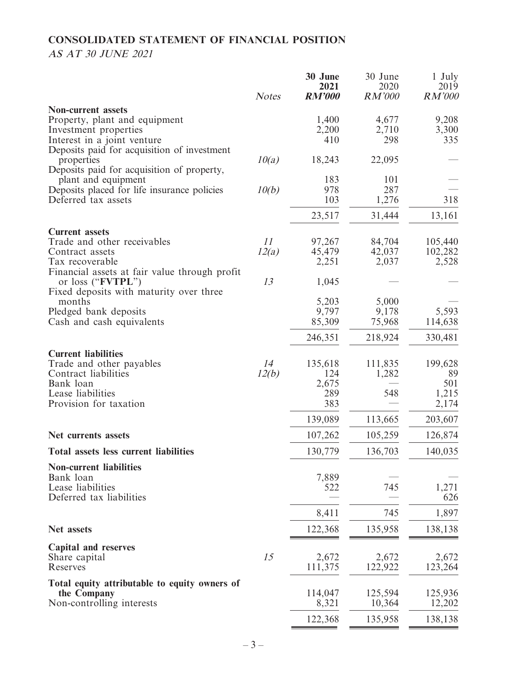# **CONSOLIDATED STATEMENT OF FINANCIAL POSITION**

# AS AT 30 JUNE 2021

|                                                                    | <b>Notes</b> | 30 June<br>2021<br><b>RM'000</b> | 30 June<br>2020<br>RM'000 | 1 July<br>2019<br><b>RM'000</b> |
|--------------------------------------------------------------------|--------------|----------------------------------|---------------------------|---------------------------------|
| <b>Non-current assets</b>                                          |              |                                  |                           |                                 |
| Property, plant and equipment                                      |              | 1,400                            | 4,677                     | 9,208                           |
| Investment properties                                              |              | 2,200                            | 2,710                     | 3,300                           |
| Interest in a joint venture                                        |              | 410                              | 298                       | 335                             |
| Deposits paid for acquisition of investment                        |              |                                  |                           |                                 |
| properties                                                         | 10(a)        | 18,243                           | 22,095                    |                                 |
| Deposits paid for acquisition of property,                         |              | 183                              | 101                       |                                 |
| plant and equipment<br>Deposits placed for life insurance policies | 10(b)        | 978                              | 287                       |                                 |
| Deferred tax assets                                                |              | 103                              | 1,276                     | 318                             |
|                                                                    |              |                                  |                           |                                 |
|                                                                    |              | 23,517                           | 31,444                    | 13,161                          |
| <b>Current assets</b>                                              |              |                                  |                           |                                 |
| Trade and other receivables                                        | 11           | 97,267                           | 84,704                    | 105,440                         |
| Contract assets                                                    | 12(a)        | 45,479                           | 42,037                    | 102,282                         |
| Tax recoverable<br>Financial assets at fair value through profit   |              | 2,251                            | 2,037                     | 2,528                           |
| or loss (" <b>FVTPL"</b> )                                         | 13           | 1,045                            |                           |                                 |
| Fixed deposits with maturity over three                            |              |                                  |                           |                                 |
| months                                                             |              | 5,203                            | 5,000                     |                                 |
| Pledged bank deposits                                              |              | 9,797                            | 9,178                     | 5,593                           |
| Cash and cash equivalents                                          |              | 85,309                           | 75,968                    | 114,638                         |
|                                                                    |              | 246,351                          | 218,924                   | 330,481                         |
| <b>Current liabilities</b>                                         |              |                                  |                           |                                 |
| Trade and other payables                                           | 14           | 135,618                          | 111,835                   | 199,628                         |
| Contract liabilities                                               | 12(b)        | 124                              | 1,282                     | 89<br>501                       |
| Bank loan<br>Lease liabilities                                     |              | 2,675<br>289                     | 548                       | 1,215                           |
| Provision for taxation                                             |              | 383                              |                           | 2,174                           |
|                                                                    |              | 139,089                          | 113,665                   | 203,607                         |
| Net currents assets                                                |              | 107,262                          | 105,259                   | 126,874                         |
| Total assets less current liabilities                              |              | 130,779                          | 136,703                   | 140,035                         |
| <b>Non-current liabilities</b>                                     |              |                                  |                           |                                 |
| Bank loan                                                          |              | 7,889                            |                           |                                 |
| Lease liabilities                                                  |              | 522                              | 745                       | 1,271                           |
| Deferred tax liabilities                                           |              |                                  |                           | 626                             |
|                                                                    |              | 8,411                            | 745                       | 1,897                           |
| Net assets                                                         |              | 122,368                          | 135,958                   | 138,138                         |
| Capital and reserves                                               |              |                                  |                           |                                 |
| Share capital                                                      | 15           | 2,672                            | 2,672                     | 2,672                           |
| Reserves                                                           |              | 111,375                          | 122,922                   | 123,264                         |
| Total equity attributable to equity owners of                      |              |                                  |                           |                                 |
| the Company                                                        |              | 114,047                          | 125,594                   | 125,936                         |
| Non-controlling interests                                          |              | 8,321                            | 10,364                    | 12,202                          |
|                                                                    |              | 122,368                          | 135,958                   | 138,138                         |
|                                                                    |              |                                  |                           |                                 |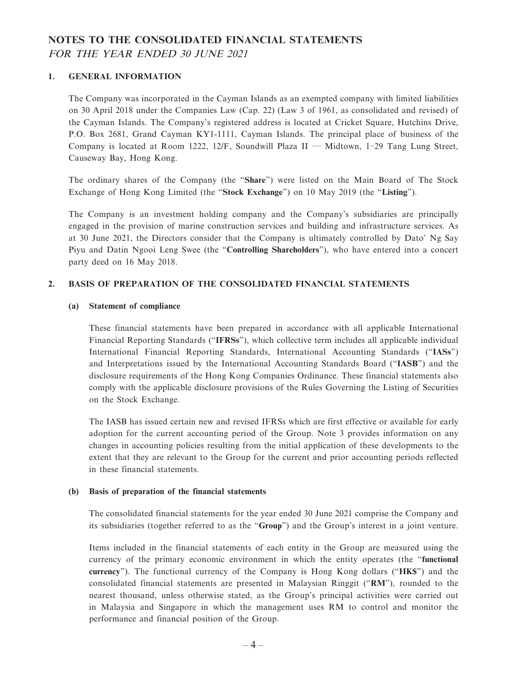# **NOTES TO THE CONSOLIDATED FINANCIAL STATEMENTS** FOR THE YEAR ENDED 30 JUNE 2021

#### **1. GENERAL INFORMATION**

The Company was incorporated in the Cayman Islands as an exempted company with limited liabilities on 30 April 2018 under the Companies Law (Cap. 22) (Law 3 of 1961, as consolidated and revised) of the Cayman Islands. The Company's registered address is located at Cricket Square, Hutchins Drive, P.O. Box 2681, Grand Cayman KY1-1111, Cayman Islands. The principal place of business of the Company is located at Room 1222, 12/F, Soundwill Plaza II — Midtown, 1–29 Tang Lung Street, Causeway Bay, Hong Kong.

The ordinary shares of the Company (the "**Share**") were listed on the Main Board of The Stock Exchange of Hong Kong Limited (the "**Stock Exchange**") on 10 May 2019 (the "**Listing**").

The Company is an investment holding company and the Company's subsidiaries are principally engaged in the provision of marine construction services and building and infrastructure services. As at 30 June 2021, the Directors consider that the Company is ultimately controlled by Dato' Ng Say Piyu and Datin Ngooi Leng Swee (the "**Controlling Shareholders**"), who have entered into a concert party deed on 16 May 2018.

#### **2. BASIS OF PREPARATION OF THE CONSOLIDATED FINANCIAL STATEMENTS**

#### **(a) Statement of compliance**

These financial statements have been prepared in accordance with all applicable International Financial Reporting Standards ("**IFRSs**"), which collective term includes all applicable individual International Financial Reporting Standards, International Accounting Standards ("**IASs**") and Interpretations issued by the International Accounting Standards Board ("**IASB**") and the disclosure requirements of the Hong Kong Companies Ordinance. These financial statements also comply with the applicable disclosure provisions of the Rules Governing the Listing of Securities on the Stock Exchange.

The IASB has issued certain new and revised IFRSs which are first effective or available for early adoption for the current accounting period of the Group. Note 3 provides information on any changes in accounting policies resulting from the initial application of these developments to the extent that they are relevant to the Group for the current and prior accounting periods reflected in these financial statements.

#### **(b) Basis of preparation of the financial statements**

The consolidated financial statements for the year ended 30 June 2021 comprise the Company and its subsidiaries (together referred to as the "**Group**") and the Group's interest in a joint venture.

Items included in the financial statements of each entity in the Group are measured using the currency of the primary economic environment in which the entity operates (the "**functional currency**"). The functional currency of the Company is Hong Kong dollars ("**HK\$**") and the consolidated financial statements are presented in Malaysian Ringgit ("**RM**"), rounded to the nearest thousand, unless otherwise stated, as the Group's principal activities were carried out in Malaysia and Singapore in which the management uses RM to control and monitor the performance and financial position of the Group.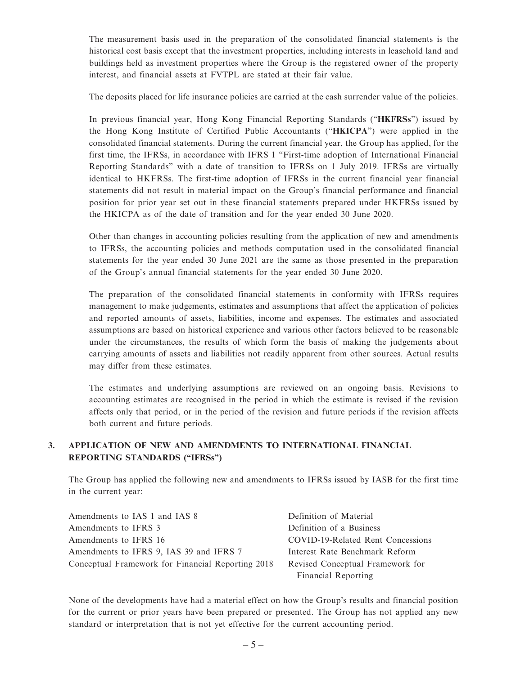The measurement basis used in the preparation of the consolidated financial statements is the historical cost basis except that the investment properties, including interests in leasehold land and buildings held as investment properties where the Group is the registered owner of the property interest, and financial assets at FVTPL are stated at their fair value.

The deposits placed for life insurance policies are carried at the cash surrender value of the policies.

In previous financial year, Hong Kong Financial Reporting Standards ("**HKFRSs**") issued by the Hong Kong Institute of Certified Public Accountants ("**HKICPA**") were applied in the consolidated financial statements. During the current financial year, the Group has applied, for the first time, the IFRSs, in accordance with IFRS 1 "First-time adoption of International Financial Reporting Standards" with a date of transition to IFRSs on 1 July 2019. IFRSs are virtually identical to HKFRSs. The first-time adoption of IFRSs in the current financial year financial statements did not result in material impact on the Group's financial performance and financial position for prior year set out in these financial statements prepared under HKFRSs issued by the HKICPA as of the date of transition and for the year ended 30 June 2020.

Other than changes in accounting policies resulting from the application of new and amendments to IFRSs, the accounting policies and methods computation used in the consolidated financial statements for the year ended 30 June 2021 are the same as those presented in the preparation of the Group's annual financial statements for the year ended 30 June 2020.

The preparation of the consolidated financial statements in conformity with IFRSs requires management to make judgements, estimates and assumptions that affect the application of policies and reported amounts of assets, liabilities, income and expenses. The estimates and associated assumptions are based on historical experience and various other factors believed to be reasonable under the circumstances, the results of which form the basis of making the judgements about carrying amounts of assets and liabilities not readily apparent from other sources. Actual results may differ from these estimates.

The estimates and underlying assumptions are reviewed on an ongoing basis. Revisions to accounting estimates are recognised in the period in which the estimate is revised if the revision affects only that period, or in the period of the revision and future periods if the revision affects both current and future periods.

### **3. APPLICATION OF NEW AND AMENDMENTS TO INTERNATIONAL FINANCIAL REPORTING STANDARDS ("IFRSs")**

The Group has applied the following new and amendments to IFRSs issued by IASB for the first time in the current year:

| Amendments to IAS 1 and IAS 8                     | Definition of Material            |
|---------------------------------------------------|-----------------------------------|
| Amendments to IFRS 3                              | Definition of a Business          |
| Amendments to IFRS 16                             | COVID-19-Related Rent Concessions |
| Amendments to IFRS 9, IAS 39 and IFRS 7           | Interest Rate Benchmark Reform    |
| Conceptual Framework for Financial Reporting 2018 | Revised Conceptual Framework for  |
|                                                   | Financial Reporting               |

None of the developments have had a material effect on how the Group's results and financial position for the current or prior years have been prepared or presented. The Group has not applied any new standard or interpretation that is not yet effective for the current accounting period.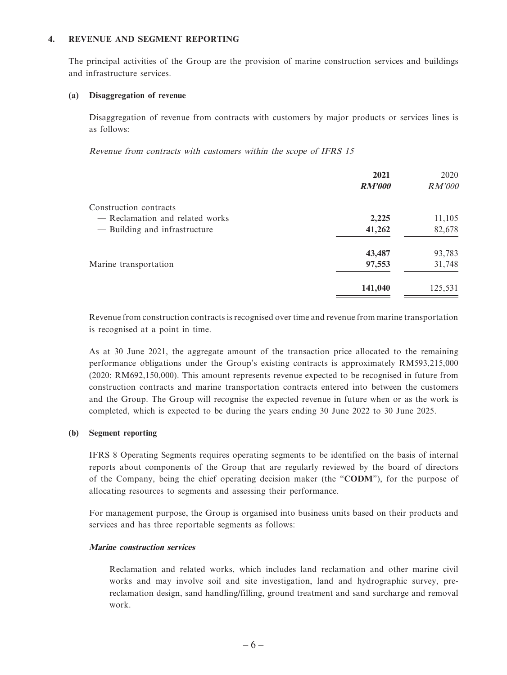#### **4. REVENUE AND SEGMENT REPORTING**

The principal activities of the Group are the provision of marine construction services and buildings and infrastructure services.

#### **(a) Disaggregation of revenue**

Disaggregation of revenue from contracts with customers by major products or services lines is as follows:

Revenue from contracts with customers within the scope of IFRS 15

|                                 | 2021          | 2020          |
|---------------------------------|---------------|---------------|
|                                 | <b>RM'000</b> | <i>RM'000</i> |
| Construction contracts          |               |               |
| - Reclamation and related works | 2,225         | 11,105        |
| - Building and infrastructure   | 41,262        | 82,678        |
|                                 | 43,487        | 93,783        |
| Marine transportation           | 97,553        | 31,748        |
|                                 | 141,040       | 125,531       |

Revenue from construction contracts is recognised over time and revenue from marine transportation is recognised at a point in time.

As at 30 June 2021, the aggregate amount of the transaction price allocated to the remaining performance obligations under the Group's existing contracts is approximately RM593,215,000 (2020: RM692,150,000). This amount represents revenue expected to be recognised in future from construction contracts and marine transportation contracts entered into between the customers and the Group. The Group will recognise the expected revenue in future when or as the work is completed, which is expected to be during the years ending 30 June 2022 to 30 June 2025.

#### **(b) Segment reporting**

IFRS 8 Operating Segments requires operating segments to be identified on the basis of internal reports about components of the Group that are regularly reviewed by the board of directors of the Company, being the chief operating decision maker (the "**CODM**"), for the purpose of allocating resources to segments and assessing their performance.

For management purpose, the Group is organised into business units based on their products and services and has three reportable segments as follows:

#### **Marine construction services**

— Reclamation and related works, which includes land reclamation and other marine civil works and may involve soil and site investigation, land and hydrographic survey, prereclamation design, sand handling/filling, ground treatment and sand surcharge and removal work.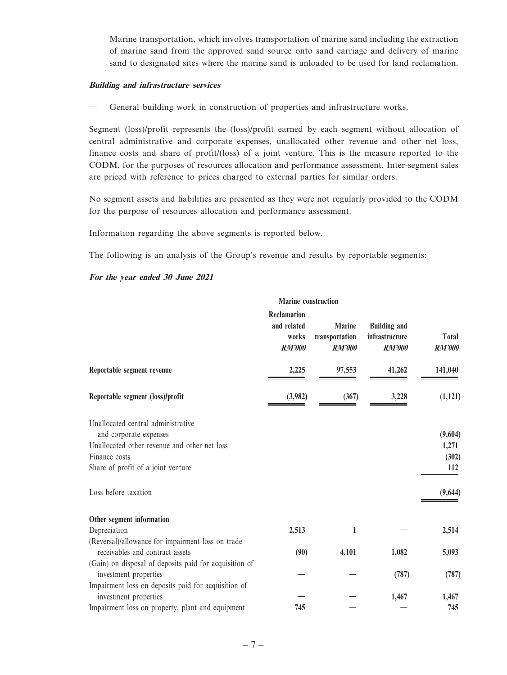— Marine transportation, which involves transportation of marine sand including the extraction of marine sand from the approved sand source onto sand carriage and delivery of marine sand to designated sites where the marine sand is unloaded to be used for land reclamation.

#### **Building and infrastructure services**

— General building work in construction of properties and infrastructure works.

Segment (loss)/profit represents the (loss)/profit earned by each segment without allocation of central administrative and corporate expenses, unallocated other revenue and other net loss, finance costs and share of profit/(loss) of a joint venture. This is the measure reported to the CODM, for the purposes of resources allocation and performance assessment. Inter-segment sales are priced with reference to prices charged to external parties for similar orders.

No segment assets and liabilities are presented as they were not regularly provided to the CODM for the purpose of resources allocation and performance assessment.

Information regarding the above segments is reported below.

The following is an analysis of the Group's revenue and results by reportable segments:

#### **For the year ended 30 June 2021**

|                                                                                      | <b>Marine</b> construction                                  |                                                  |                                                        |                               |
|--------------------------------------------------------------------------------------|-------------------------------------------------------------|--------------------------------------------------|--------------------------------------------------------|-------------------------------|
|                                                                                      | <b>Reclamation</b><br>and related<br>works<br><b>RM'000</b> | <b>Marine</b><br>transportation<br><b>RM'000</b> | <b>Building and</b><br>infrastructure<br><b>RM'000</b> | <b>Total</b><br><b>RM'000</b> |
| Reportable segment revenue                                                           | 2,225                                                       | 97,553                                           | 41,262                                                 | 141,040                       |
| Reportable segment (loss)/profit                                                     | (3,982)                                                     | (367)                                            | 3,228                                                  | (1,121)                       |
| Unallocated central administrative                                                   |                                                             |                                                  |                                                        |                               |
| and corporate expenses                                                               |                                                             |                                                  |                                                        | (9,604)                       |
| Unallocated other revenue and other net loss                                         |                                                             |                                                  |                                                        | 1,271                         |
| Finance costs                                                                        |                                                             |                                                  |                                                        | (302)                         |
| Share of profit of a joint venture                                                   |                                                             |                                                  |                                                        | 112                           |
| Loss before taxation                                                                 |                                                             |                                                  |                                                        | (9,644)                       |
| Other segment information                                                            |                                                             |                                                  |                                                        |                               |
| Depreciation                                                                         | 2,513                                                       | 1                                                |                                                        | 2,514                         |
| (Reversal)/allowance for impairment loss on trade<br>receivables and contract assets | (90)                                                        | 4,101                                            | 1,082                                                  | 5,093                         |
| (Gain) on disposal of deposits paid for acquisition of                               |                                                             |                                                  |                                                        |                               |
| investment properties                                                                |                                                             |                                                  | (787)                                                  | (787)                         |
| Impairment loss on deposits paid for acquisition of                                  |                                                             |                                                  |                                                        |                               |
| investment properties                                                                |                                                             |                                                  | 1,467                                                  | 1,467                         |
| Impairment loss on property, plant and equipment                                     | 745                                                         |                                                  |                                                        | 745                           |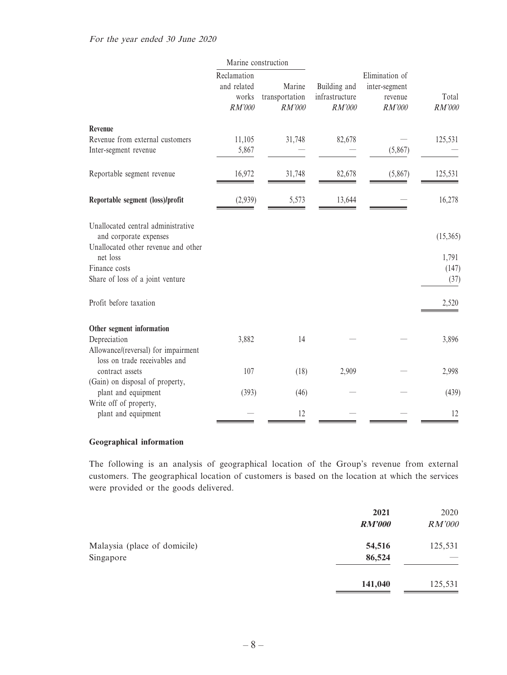|                                                                                                                                                                      | Marine construction                             |                                    |                                          |                                                      |                                    |
|----------------------------------------------------------------------------------------------------------------------------------------------------------------------|-------------------------------------------------|------------------------------------|------------------------------------------|------------------------------------------------------|------------------------------------|
|                                                                                                                                                                      | Reclamation<br>and related<br>works<br>$RM'000$ | Marine<br>transportation<br>RM'000 | Building and<br>infrastructure<br>RM'000 | Elimination of<br>inter-segment<br>revenue<br>RM'000 | Total<br>RM'000                    |
| Revenue<br>Revenue from external customers<br>Inter-segment revenue                                                                                                  | 11,105<br>5,867                                 | 31,748                             | 82,678                                   | (5,867)                                              | 125,531                            |
| Reportable segment revenue                                                                                                                                           | 16,972                                          | 31,748                             | 82,678                                   | (5,867)                                              | 125,531                            |
| Reportable segment (loss)/profit                                                                                                                                     | (2,939)                                         | 5,573                              | 13,644                                   |                                                      | 16,278                             |
| Unallocated central administrative<br>and corporate expenses<br>Unallocated other revenue and other<br>net loss<br>Finance costs<br>Share of loss of a joint venture |                                                 |                                    |                                          |                                                      | (15,365)<br>1,791<br>(147)<br>(37) |
| Profit before taxation                                                                                                                                               |                                                 |                                    |                                          |                                                      | 2,520                              |
| Other segment information<br>Depreciation<br>Allowance/(reversal) for impairment                                                                                     | 3,882                                           | 14                                 |                                          |                                                      | 3,896                              |
| loss on trade receivables and<br>contract assets<br>(Gain) on disposal of property,                                                                                  | 107                                             | (18)                               | 2,909                                    |                                                      | 2,998                              |
| plant and equipment                                                                                                                                                  | (393)                                           | (46)                               |                                          |                                                      | (439)                              |
| Write off of property,<br>plant and equipment                                                                                                                        |                                                 | 12                                 |                                          |                                                      | 12                                 |

#### **Geographical information**

The following is an analysis of geographical location of the Group's revenue from external customers. The geographical location of customers is based on the location at which the services were provided or the goods delivered.

|                              | 2021          | 2020    |
|------------------------------|---------------|---------|
|                              | <b>RM'000</b> | RM'000  |
| Malaysia (place of domicile) | 54,516        | 125,531 |
| Singapore                    | 86,524        |         |
|                              | 141,040       | 125,531 |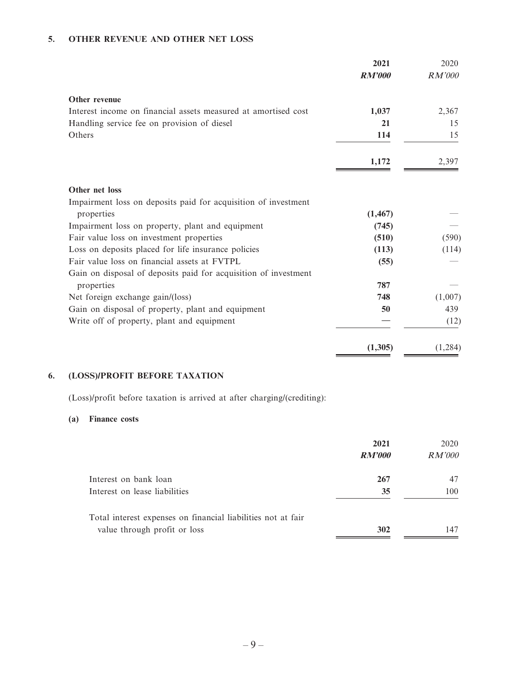#### **5. OTHER REVENUE AND OTHER NET LOSS**

|                                                                 | 2021<br><b>RM'000</b> | 2020<br>RM'000 |
|-----------------------------------------------------------------|-----------------------|----------------|
| Other revenue                                                   |                       |                |
| Interest income on financial assets measured at amortised cost  | 1,037                 | 2,367          |
| Handling service fee on provision of diesel                     | 21                    | 15             |
| Others                                                          | 114                   | 15             |
|                                                                 | 1,172                 | 2,397          |
| Other net loss                                                  |                       |                |
| Impairment loss on deposits paid for acquisition of investment  |                       |                |
| properties                                                      | (1, 467)              |                |
| Impairment loss on property, plant and equipment                | (745)                 |                |
| Fair value loss on investment properties                        | (510)                 | (590)          |
| Loss on deposits placed for life insurance policies             | (113)                 | (114)          |
| Fair value loss on financial assets at FVTPL                    | (55)                  |                |
| Gain on disposal of deposits paid for acquisition of investment |                       |                |
| properties                                                      | 787                   |                |
| Net foreign exchange gain/(loss)                                | 748                   | (1,007)        |
| Gain on disposal of property, plant and equipment               | 50                    | 439            |
| Write off of property, plant and equipment                      |                       | (12)           |
|                                                                 | (1,305)               | (1, 284)       |

### **6. (LOSS)/PROFIT BEFORE TAXATION**

(Loss)/profit before taxation is arrived at after charging/(crediting):

#### **(a) Finance costs**

|                                                              | 2021<br><b>RM'000</b> | 2020<br><i>RM'000</i> |
|--------------------------------------------------------------|-----------------------|-----------------------|
| Interest on bank loan                                        | 267                   | 47                    |
| Interest on lease liabilities                                | 35                    | 100                   |
| Total interest expenses on financial liabilities not at fair |                       |                       |
| value through profit or loss                                 | 302                   | 147                   |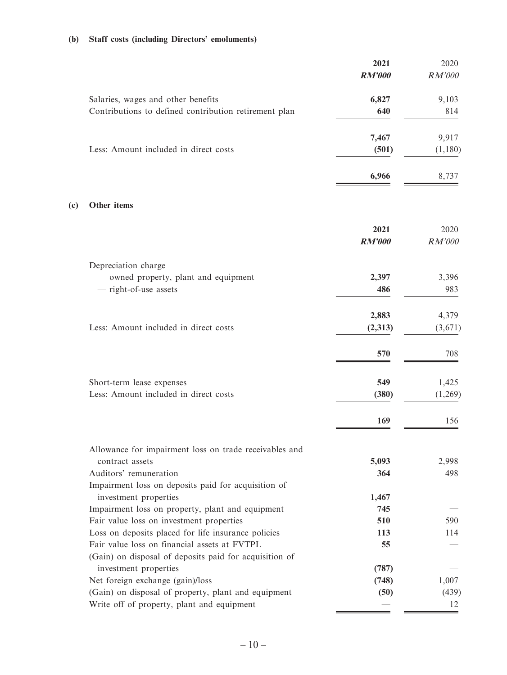### **(b) Staff costs (including Directors' emoluments)**

|     |                                                                                 | 2021<br><b>RM'000</b> | 2020<br>RM'000 |
|-----|---------------------------------------------------------------------------------|-----------------------|----------------|
|     | Salaries, wages and other benefits                                              | 6,827                 | 9,103          |
|     | Contributions to defined contribution retirement plan                           | 640                   | 814            |
|     |                                                                                 | 7,467                 | 9,917          |
|     | Less: Amount included in direct costs                                           | (501)                 | (1,180)        |
|     |                                                                                 | 6,966                 | 8,737          |
| (c) | Other items                                                                     |                       |                |
|     |                                                                                 | 2021                  | 2020           |
|     |                                                                                 | <b>RM'000</b>         | RM'000         |
|     | Depreciation charge                                                             |                       |                |
|     | - owned property, plant and equipment                                           | 2,397                 | 3,396          |
|     | - right-of-use assets                                                           | 486                   | 983            |
|     |                                                                                 | 2,883                 | 4,379          |
|     | Less: Amount included in direct costs                                           | (2,313)               | (3,671)        |
|     |                                                                                 | 570                   | 708            |
|     | Short-term lease expenses                                                       | 549                   | 1,425          |
|     | Less: Amount included in direct costs                                           | (380)                 | (1,269)        |
|     |                                                                                 | 169                   | 156            |
|     | Allowance for impairment loss on trade receivables and                          |                       |                |
|     | contract assets                                                                 | 5,093                 | 2,998          |
|     | Auditors' remuneration                                                          | 364                   | 498            |
|     | Impairment loss on deposits paid for acquisition of<br>investment properties    | 1,467                 |                |
|     | Impairment loss on property, plant and equipment                                | 745                   |                |
|     | Fair value loss on investment properties                                        | 510                   | 590            |
|     | Loss on deposits placed for life insurance policies                             | 113                   | 114            |
|     | Fair value loss on financial assets at FVTPL                                    | 55                    |                |
|     | (Gain) on disposal of deposits paid for acquisition of<br>investment properties | (787)                 |                |
|     | Net foreign exchange (gain)/loss                                                | (748)                 | 1,007          |
|     | (Gain) on disposal of property, plant and equipment                             | (50)                  | (439)          |
|     | Write off of property, plant and equipment                                      |                       | 12             |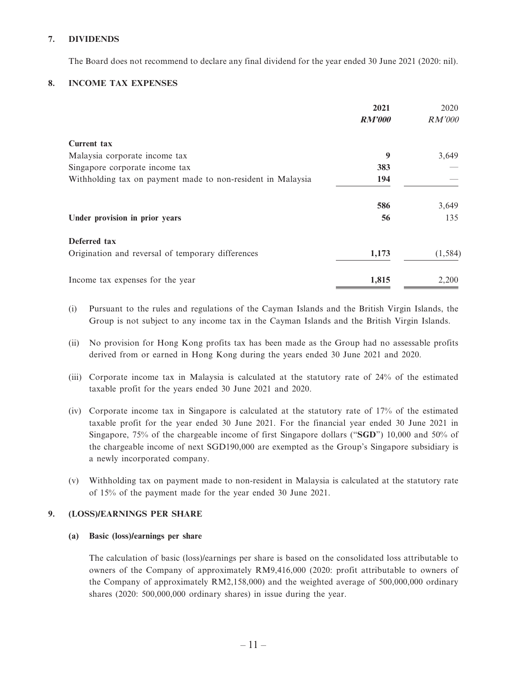#### **7. DIVIDENDS**

The Board does not recommend to declare any final dividend for the year ended 30 June 2021 (2020: nil).

#### **8. INCOME TAX EXPENSES**

|                                                             | 2021          | 2020          |
|-------------------------------------------------------------|---------------|---------------|
|                                                             | <b>RM'000</b> | <i>RM'000</i> |
| <b>Current tax</b>                                          |               |               |
| Malaysia corporate income tax                               | 9             | 3,649         |
| Singapore corporate income tax                              | 383           |               |
| Withholding tax on payment made to non-resident in Malaysia | 194           |               |
|                                                             | 586           | 3,649         |
| Under provision in prior years                              | 56            | 135           |
| Deferred tax                                                |               |               |
| Origination and reversal of temporary differences           | 1,173         | (1, 584)      |
| Income tax expenses for the year                            | 1,815         | 2,200         |

- (i) Pursuant to the rules and regulations of the Cayman Islands and the British Virgin Islands, the Group is not subject to any income tax in the Cayman Islands and the British Virgin Islands.
- (ii) No provision for Hong Kong profits tax has been made as the Group had no assessable profits derived from or earned in Hong Kong during the years ended 30 June 2021 and 2020.
- (iii) Corporate income tax in Malaysia is calculated at the statutory rate of 24% of the estimated taxable profit for the years ended 30 June 2021 and 2020.
- (iv) Corporate income tax in Singapore is calculated at the statutory rate of 17% of the estimated taxable profit for the year ended 30 June 2021. For the financial year ended 30 June 2021 in Singapore, 75% of the chargeable income of first Singapore dollars ("**SGD**") 10,000 and 50% of the chargeable income of next SGD190,000 are exempted as the Group's Singapore subsidiary is a newly incorporated company.
- (v) Withholding tax on payment made to non-resident in Malaysia is calculated at the statutory rate of 15% of the payment made for the year ended 30 June 2021.

#### **9. (LOSS)/EARNINGS PER SHARE**

#### **(a) Basic (loss)/earnings per share**

The calculation of basic (loss)/earnings per share is based on the consolidated loss attributable to owners of the Company of approximately RM9,416,000 (2020: profit attributable to owners of the Company of approximately RM2,158,000) and the weighted average of 500,000,000 ordinary shares (2020: 500,000,000 ordinary shares) in issue during the year.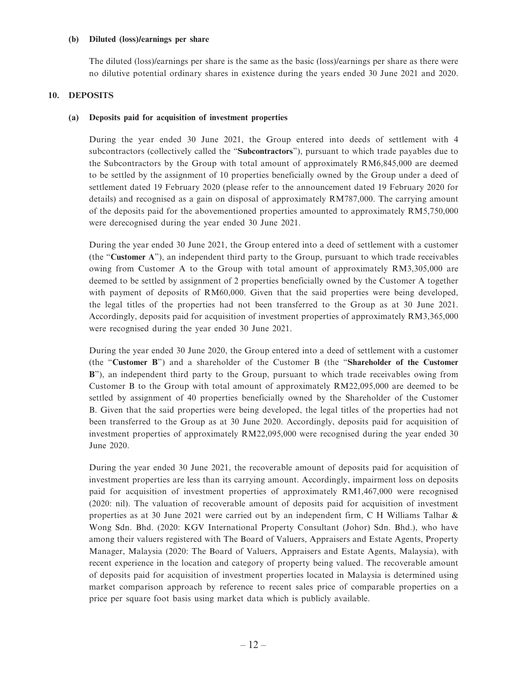#### **(b) Diluted (loss)/earnings per share**

The diluted (loss)/earnings per share is the same as the basic (loss)/earnings per share as there were no dilutive potential ordinary shares in existence during the years ended 30 June 2021 and 2020.

#### **10. DEPOSITS**

#### **(a) Deposits paid for acquisition of investment properties**

During the year ended 30 June 2021, the Group entered into deeds of settlement with 4 subcontractors (collectively called the "**Subcontractors**"), pursuant to which trade payables due to the Subcontractors by the Group with total amount of approximately RM6,845,000 are deemed to be settled by the assignment of 10 properties beneficially owned by the Group under a deed of settlement dated 19 February 2020 (please refer to the announcement dated 19 February 2020 for details) and recognised as a gain on disposal of approximately RM787,000. The carrying amount of the deposits paid for the abovementioned properties amounted to approximately RM5,750,000 were derecognised during the year ended 30 June 2021.

During the year ended 30 June 2021, the Group entered into a deed of settlement with a customer (the "**Customer A**"), an independent third party to the Group, pursuant to which trade receivables owing from Customer A to the Group with total amount of approximately RM3,305,000 are deemed to be settled by assignment of 2 properties beneficially owned by the Customer A together with payment of deposits of RM60,000. Given that the said properties were being developed, the legal titles of the properties had not been transferred to the Group as at 30 June 2021. Accordingly, deposits paid for acquisition of investment properties of approximately RM3,365,000 were recognised during the year ended 30 June 2021.

During the year ended 30 June 2020, the Group entered into a deed of settlement with a customer (the "**Customer B**") and a shareholder of the Customer B (the "**Shareholder of the Customer B**"), an independent third party to the Group, pursuant to which trade receivables owing from Customer B to the Group with total amount of approximately RM22,095,000 are deemed to be settled by assignment of 40 properties beneficially owned by the Shareholder of the Customer B. Given that the said properties were being developed, the legal titles of the properties had not been transferred to the Group as at 30 June 2020. Accordingly, deposits paid for acquisition of investment properties of approximately RM22,095,000 were recognised during the year ended 30 June 2020.

During the year ended 30 June 2021, the recoverable amount of deposits paid for acquisition of investment properties are less than its carrying amount. Accordingly, impairment loss on deposits paid for acquisition of investment properties of approximately RM1,467,000 were recognised (2020: nil). The valuation of recoverable amount of deposits paid for acquisition of investment properties as at 30 June 2021 were carried out by an independent firm, C H Williams Talhar & Wong Sdn. Bhd. (2020: KGV International Property Consultant (Johor) Sdn. Bhd.), who have among their valuers registered with The Board of Valuers, Appraisers and Estate Agents, Property Manager, Malaysia (2020: The Board of Valuers, Appraisers and Estate Agents, Malaysia), with recent experience in the location and category of property being valued. The recoverable amount of deposits paid for acquisition of investment properties located in Malaysia is determined using market comparison approach by reference to recent sales price of comparable properties on a price per square foot basis using market data which is publicly available.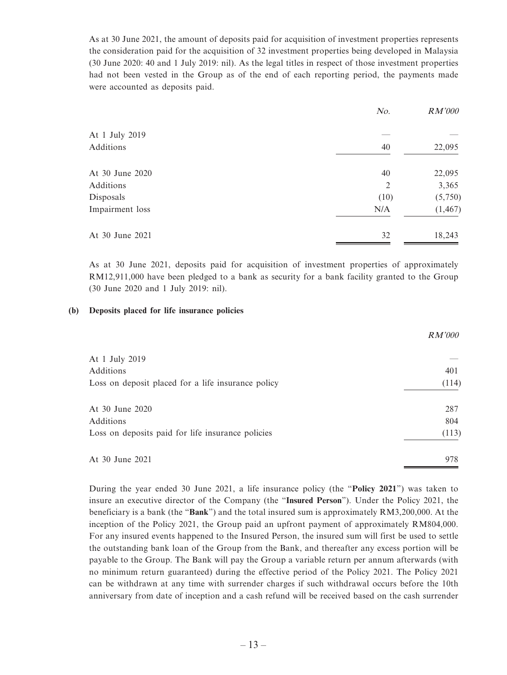As at 30 June 2021, the amount of deposits paid for acquisition of investment properties represents the consideration paid for the acquisition of 32 investment properties being developed in Malaysia (30 June 2020: 40 and 1 July 2019: nil). As the legal titles in respect of those investment properties had not been vested in the Group as of the end of each reporting period, the payments made were accounted as deposits paid.

|                 | No.  | <i>RM'000</i> |
|-----------------|------|---------------|
| At 1 July 2019  |      |               |
| Additions       | 40   | 22,095        |
| At 30 June 2020 | 40   | 22,095        |
| Additions       | 2    | 3,365         |
| Disposals       | (10) | (5,750)       |
| Impairment loss | N/A  | (1, 467)      |
| At 30 June 2021 | 32   | 18,243        |

As at 30 June 2021, deposits paid for acquisition of investment properties of approximately RM12,911,000 have been pledged to a bank as security for a bank facility granted to the Group (30 June 2020 and 1 July 2019: nil).

#### **(b) Deposits placed for life insurance policies**

|                                                    | <i>RM'000</i> |
|----------------------------------------------------|---------------|
| At 1 July 2019                                     |               |
| Additions                                          | 401           |
| Loss on deposit placed for a life insurance policy | (114)         |
| At 30 June 2020                                    | 287           |
| Additions                                          | 804           |
| Loss on deposits paid for life insurance policies  | (113)         |
| At 30 June 2021                                    | 978           |

During the year ended 30 June 2021, a life insurance policy (the "**Policy 2021**") was taken to insure an executive director of the Company (the "**Insured Person**"). Under the Policy 2021, the beneficiary is a bank (the "**Bank**") and the total insured sum is approximately RM3,200,000. At the inception of the Policy 2021, the Group paid an upfront payment of approximately RM804,000. For any insured events happened to the Insured Person, the insured sum will first be used to settle the outstanding bank loan of the Group from the Bank, and thereafter any excess portion will be payable to the Group. The Bank will pay the Group a variable return per annum afterwards (with no minimum return guaranteed) during the effective period of the Policy 2021. The Policy 2021 can be withdrawn at any time with surrender charges if such withdrawal occurs before the 10th anniversary from date of inception and a cash refund will be received based on the cash surrender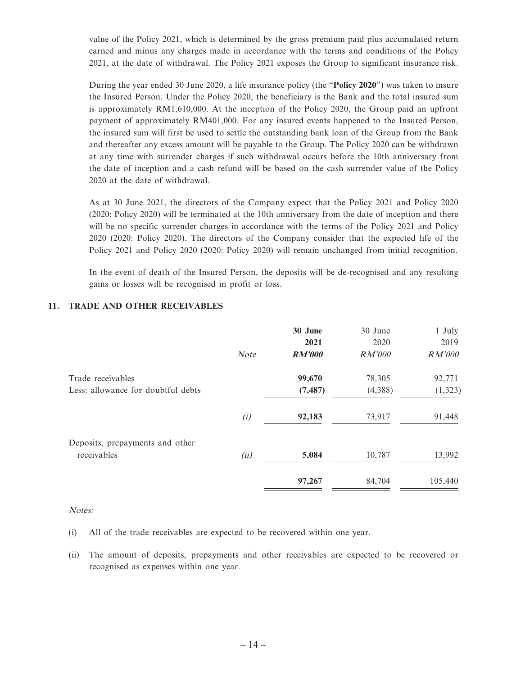value of the Policy 2021, which is determined by the gross premium paid plus accumulated return earned and minus any charges made in accordance with the terms and conditions of the Policy 2021, at the date of withdrawal. The Policy 2021 exposes the Group to significant insurance risk.

During the year ended 30 June 2020, a life insurance policy (the "**Policy 2020**") was taken to insure the Insured Person. Under the Policy 2020, the beneficiary is the Bank and the total insured sum is approximately RM1,610,000. At the inception of the Policy 2020, the Group paid an upfront payment of approximately RM401,000. For any insured events happened to the Insured Person, the insured sum will first be used to settle the outstanding bank loan of the Group from the Bank and thereafter any excess amount will be payable to the Group. The Policy 2020 can be withdrawn at any time with surrender charges if such withdrawal occurs before the 10th anniversary from the date of inception and a cash refund will be based on the cash surrender value of the Policy 2020 at the date of withdrawal.

As at 30 June 2021, the directors of the Company expect that the Policy 2021 and Policy 2020 (2020: Policy 2020) will be terminated at the 10th anniversary from the date of inception and there will be no specific surrender charges in accordance with the terms of the Policy 2021 and Policy 2020 (2020: Policy 2020). The directors of the Company consider that the expected life of the Policy 2021 and Policy 2020 (2020: Policy 2020) will remain unchanged from initial recognition.

In the event of death of the Insured Person, the deposits will be de-recognised and any resulting gains or losses will be recognised in profit or loss.

|                                                | <b>Note</b> | 30 June<br>2021<br><b>RM'000</b> | 30 June<br>2020<br><i>RM'000</i> | 1 July<br>2019<br><i>RM'000</i> |
|------------------------------------------------|-------------|----------------------------------|----------------------------------|---------------------------------|
| Trade receivables                              |             | 99,670                           | 78,305                           | 92,771                          |
| Less: allowance for doubtful debts             |             | (7, 487)                         | (4,388)                          | (1, 323)                        |
|                                                | (i)         | 92,183                           | 73,917                           | 91,448                          |
| Deposits, prepayments and other<br>receivables | (ii)        | 5,084                            | 10,787                           | 13,992                          |
|                                                |             | 97,267                           | 84,704                           | 105,440                         |

#### **11. TRADE AND OTHER RECEIVABLES**

#### Notes:

- (i) All of the trade receivables are expected to be recovered within one year.
- (ii) The amount of deposits, prepayments and other receivables are expected to be recovered or recognised as expenses within one year.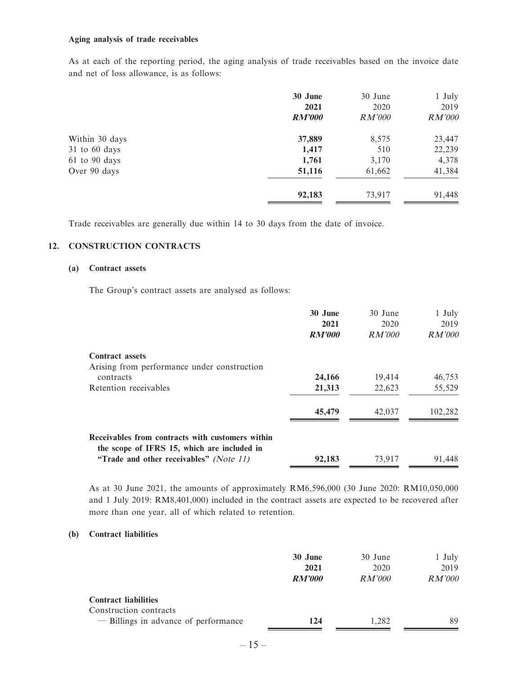#### **Aging analysis of trade receivables**

As at each of the reporting period, the aging analysis of trade receivables based on the invoice date and net of loss allowance, is as follows:

|                   | 30 June       | 30 June       | 1 July |
|-------------------|---------------|---------------|--------|
|                   | 2021          | 2020          | 2019   |
|                   | <b>RM'000</b> | <i>RM'000</i> | RM'000 |
| Within 30 days    | 37,889        | 8,575         | 23,447 |
| 31 to 60 days     | 1,417         | 510           | 22,239 |
| $61$ to $90$ days | 1,761         | 3,170         | 4,378  |
| Over 90 days      | 51,116        | 61,662        | 41,384 |
|                   | 92,183        | 73,917        | 91,448 |

Trade receivables are generally due within 14 to 30 days from the date of invoice.

#### **12. CONSTRUCTION CONTRACTS**

#### **(a) Contract assets**

The Group's contract assets are analysed as follows:

|                                                                                                 | 30 June<br>2021<br><b>RM'000</b> | 30 June<br>2020<br>RM'000 | 1 July<br>2019<br>RM'000 |
|-------------------------------------------------------------------------------------------------|----------------------------------|---------------------------|--------------------------|
|                                                                                                 |                                  |                           |                          |
| <b>Contract assets</b>                                                                          |                                  |                           |                          |
| Arising from performance under construction                                                     |                                  |                           |                          |
| contracts                                                                                       | 24,166                           | 19,414                    | 46,753                   |
| Retention receivables                                                                           | 21,313                           | 22,623                    | 55,529                   |
|                                                                                                 | 45,479                           | 42,037                    | 102,282                  |
| Receivables from contracts with customers within<br>the scope of IFRS 15, which are included in |                                  |                           |                          |
| "Trade and other receivables" (Note 11)                                                         | 92,183                           | 73,917                    | 91,448                   |
|                                                                                                 |                                  |                           |                          |

As at 30 June 2021, the amounts of approximately RM6,596,000 (30 June 2020: RM10,050,000 and 1 July 2019: RM8,401,000) included in the contract assets are expected to be recovered after more than one year, all of which related to retention.

#### **(b) Contract liabilities**

|                                      | 30 June<br>2021 | 30 June<br>2020 | 1 July<br>2019 |
|--------------------------------------|-----------------|-----------------|----------------|
|                                      | <b>RM'000</b>   | RM'000          | <i>RM'000</i>  |
| <b>Contract liabilities</b>          |                 |                 |                |
| Construction contracts               |                 |                 |                |
| - Billings in advance of performance | 124             | 1.282           | 89             |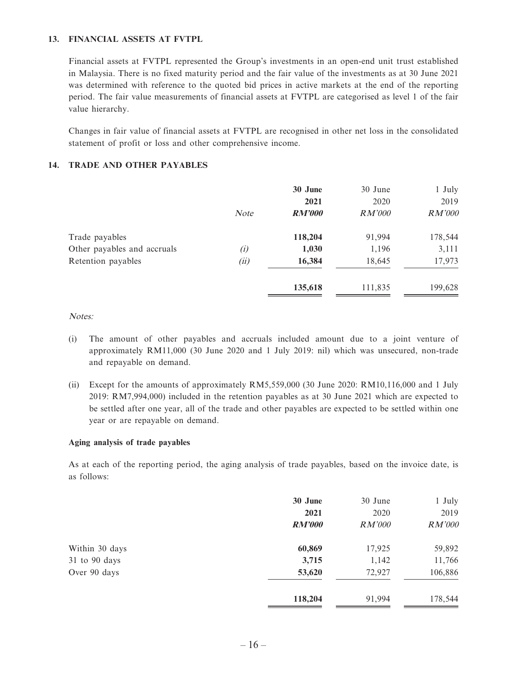#### **13. FINANCIAL ASSETS AT FVTPL**

Financial assets at FVTPL represented the Group's investments in an open-end unit trust established in Malaysia. There is no fixed maturity period and the fair value of the investments as at 30 June 2021 was determined with reference to the quoted bid prices in active markets at the end of the reporting period. The fair value measurements of financial assets at FVTPL are categorised as level 1 of the fair value hierarchy.

Changes in fair value of financial assets at FVTPL are recognised in other net loss in the consolidated statement of profit or loss and other comprehensive income.

#### **14. TRADE AND OTHER PAYABLES**

|                             | <b>Note</b> | 30 June<br>2021<br><b>RM'000</b> | 30 June<br>2020<br><i>RM'000</i> | 1 July<br>2019<br><i>RM'000</i> |
|-----------------------------|-------------|----------------------------------|----------------------------------|---------------------------------|
| Trade payables              |             | 118,204                          | 91,994                           | 178,544                         |
| Other payables and accruals | (i)         | 1,030                            | 1,196                            | 3,111                           |
| Retention payables          | (ii)        | 16,384                           | 18,645                           | 17,973                          |
|                             |             | 135,618                          | 111,835                          | 199,628                         |

Notes:

- (i) The amount of other payables and accruals included amount due to a joint venture of approximately RM11,000 (30 June 2020 and 1 July 2019: nil) which was unsecured, non-trade and repayable on demand.
- (ii) Except for the amounts of approximately RM5,559,000 (30 June 2020: RM10,116,000 and 1 July 2019: RM7,994,000) included in the retention payables as at 30 June 2021 which are expected to be settled after one year, all of the trade and other payables are expected to be settled within one year or are repayable on demand.

#### **Aging analysis of trade payables**

As at each of the reporting period, the aging analysis of trade payables, based on the invoice date, is as follows:

|                | 30 June       | 30 June       | 1 July  |
|----------------|---------------|---------------|---------|
|                | 2021          | 2020          | 2019    |
|                | <b>RM'000</b> | <i>RM'000</i> | RM'000  |
| Within 30 days | 60,869        | 17,925        | 59,892  |
| 31 to 90 days  | 3,715         | 1,142         | 11,766  |
| Over 90 days   | 53,620        | 72,927        | 106,886 |
|                | 118,204       | 91,994        | 178,544 |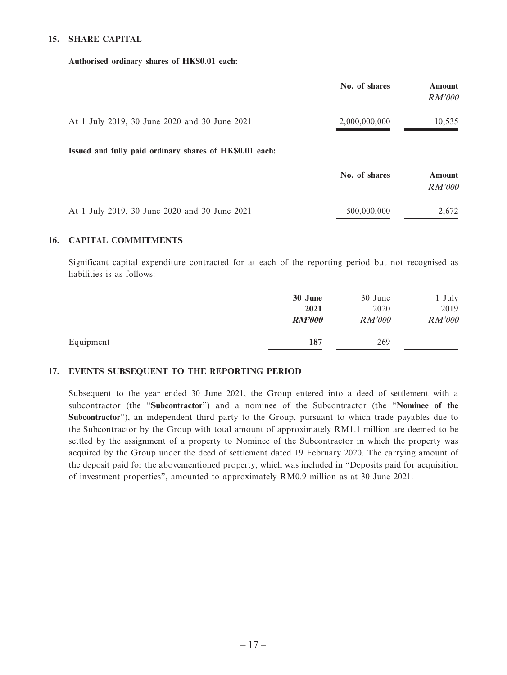#### **15. SHARE CAPITAL**

#### **Authorised ordinary shares of HK\$0.01 each:**

|                                                         | No. of shares | Amount<br><i>RM'000</i>        |
|---------------------------------------------------------|---------------|--------------------------------|
| At 1 July 2019, 30 June 2020 and 30 June 2021           | 2,000,000,000 | 10,535                         |
| Issued and fully paid ordinary shares of HK\$0.01 each: |               |                                |
|                                                         | No. of shares | <b>Amount</b><br><i>RM'000</i> |
| At 1 July 2019, 30 June 2020 and 30 June 2021           | 500,000,000   | 2,672                          |

#### **16. CAPITAL COMMITMENTS**

Significant capital expenditure contracted for at each of the reporting period but not recognised as liabilities is as follows:

|           | 30 June       | 30 June | 1 July |
|-----------|---------------|---------|--------|
|           | 2021          | 2020    | 2019   |
|           | <b>RM'000</b> | RM'000  | RM'000 |
| Equipment | 187           | 269     | $-$    |

#### **17. EVENTS SUBSEQUENT TO THE REPORTING PERIOD**

Subsequent to the year ended 30 June 2021, the Group entered into a deed of settlement with a subcontractor (the "**Subcontractor**") and a nominee of the Subcontractor (the "**Nominee of the Subcontractor**"), an independent third party to the Group, pursuant to which trade payables due to the Subcontractor by the Group with total amount of approximately RM1.1 million are deemed to be settled by the assignment of a property to Nominee of the Subcontractor in which the property was acquired by the Group under the deed of settlement dated 19 February 2020. The carrying amount of the deposit paid for the abovementioned property, which was included in "Deposits paid for acquisition of investment properties", amounted to approximately RM0.9 million as at 30 June 2021.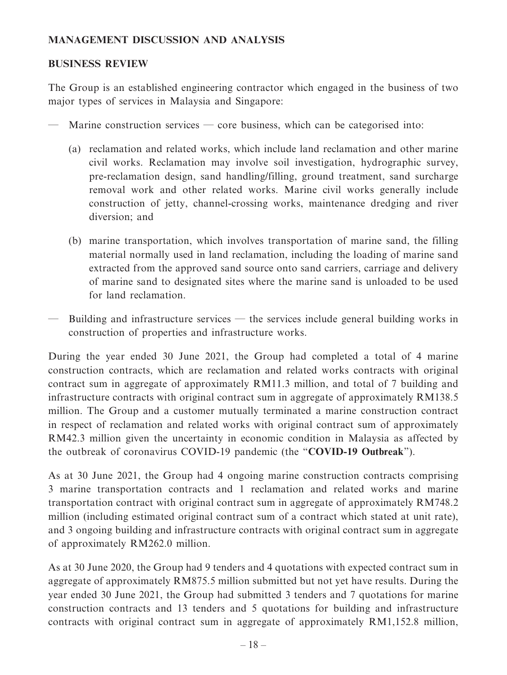### **MANAGEMENT DISCUSSION AND ANALYSIS**

### **BUSINESS REVIEW**

The Group is an established engineering contractor which engaged in the business of two major types of services in Malaysia and Singapore:

- Marine construction services core business, which can be categorised into:
	- (a) reclamation and related works, which include land reclamation and other marine civil works. Reclamation may involve soil investigation, hydrographic survey, pre-reclamation design, sand handling/filling, ground treatment, sand surcharge removal work and other related works. Marine civil works generally include construction of jetty, channel-crossing works, maintenance dredging and river diversion; and
	- (b) marine transportation, which involves transportation of marine sand, the filling material normally used in land reclamation, including the loading of marine sand extracted from the approved sand source onto sand carriers, carriage and delivery of marine sand to designated sites where the marine sand is unloaded to be used for land reclamation.
- Building and infrastructure services the services include general building works in construction of properties and infrastructure works.

During the year ended 30 June 2021, the Group had completed a total of 4 marine construction contracts, which are reclamation and related works contracts with original contract sum in aggregate of approximately RM11.3 million, and total of 7 building and infrastructure contracts with original contract sum in aggregate of approximately RM138.5 million. The Group and a customer mutually terminated a marine construction contract in respect of reclamation and related works with original contract sum of approximately RM42.3 million given the uncertainty in economic condition in Malaysia as affected by the outbreak of coronavirus COVID-19 pandemic (the "**COVID-19 Outbreak**").

As at 30 June 2021, the Group had 4 ongoing marine construction contracts comprising 3 marine transportation contracts and 1 reclamation and related works and marine transportation contract with original contract sum in aggregate of approximately RM748.2 million (including estimated original contract sum of a contract which stated at unit rate), and 3 ongoing building and infrastructure contracts with original contract sum in aggregate of approximately RM262.0 million.

As at 30 June 2020, the Group had 9 tenders and 4 quotations with expected contract sum in aggregate of approximately RM875.5 million submitted but not yet have results. During the year ended 30 June 2021, the Group had submitted 3 tenders and 7 quotations for marine construction contracts and 13 tenders and 5 quotations for building and infrastructure contracts with original contract sum in aggregate of approximately RM1,152.8 million,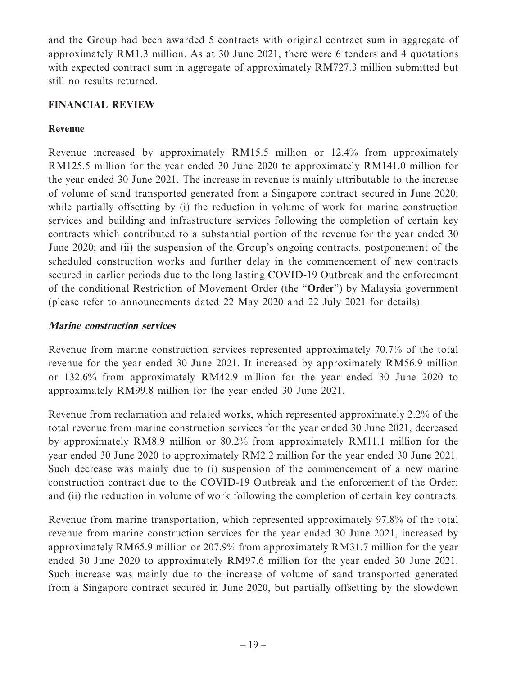and the Group had been awarded 5 contracts with original contract sum in aggregate of approximately RM1.3 million. As at 30 June 2021, there were 6 tenders and 4 quotations with expected contract sum in aggregate of approximately RM727.3 million submitted but still no results returned.

### **FINANCIAL REVIEW**

# **Revenue**

Revenue increased by approximately RM15.5 million or 12.4% from approximately RM125.5 million for the year ended 30 June 2020 to approximately RM141.0 million for the year ended 30 June 2021. The increase in revenue is mainly attributable to the increase of volume of sand transported generated from a Singapore contract secured in June 2020; while partially offsetting by (i) the reduction in volume of work for marine construction services and building and infrastructure services following the completion of certain key contracts which contributed to a substantial portion of the revenue for the year ended 30 June 2020; and (ii) the suspension of the Group's ongoing contracts, postponement of the scheduled construction works and further delay in the commencement of new contracts secured in earlier periods due to the long lasting COVID-19 Outbreak and the enforcement of the conditional Restriction of Movement Order (the "**Order**") by Malaysia government (please refer to announcements dated 22 May 2020 and 22 July 2021 for details).

# **Marine construction services**

Revenue from marine construction services represented approximately 70.7% of the total revenue for the year ended 30 June 2021. It increased by approximately RM56.9 million or 132.6% from approximately RM42.9 million for the year ended 30 June 2020 to approximately RM99.8 million for the year ended 30 June 2021.

Revenue from reclamation and related works, which represented approximately 2.2% of the total revenue from marine construction services for the year ended 30 June 2021, decreased by approximately RM8.9 million or 80.2% from approximately RM11.1 million for the year ended 30 June 2020 to approximately RM2.2 million for the year ended 30 June 2021. Such decrease was mainly due to (i) suspension of the commencement of a new marine construction contract due to the COVID-19 Outbreak and the enforcement of the Order; and (ii) the reduction in volume of work following the completion of certain key contracts.

Revenue from marine transportation, which represented approximately 97.8% of the total revenue from marine construction services for the year ended 30 June 2021, increased by approximately RM65.9 million or 207.9% from approximately RM31.7 million for the year ended 30 June 2020 to approximately RM97.6 million for the year ended 30 June 2021. Such increase was mainly due to the increase of volume of sand transported generated from a Singapore contract secured in June 2020, but partially offsetting by the slowdown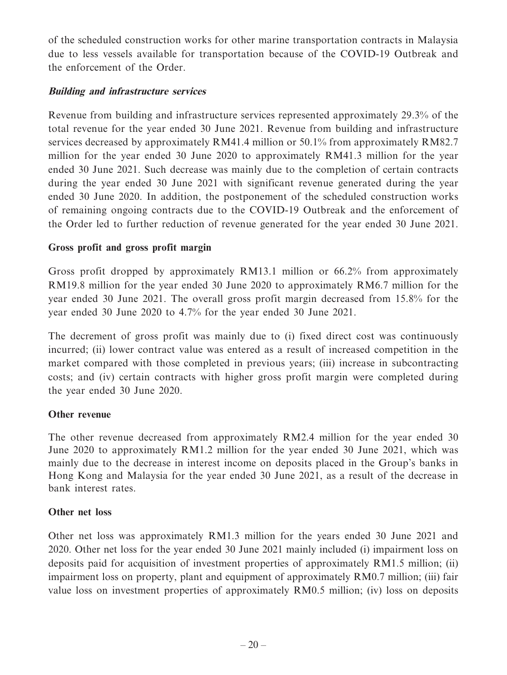of the scheduled construction works for other marine transportation contracts in Malaysia due to less vessels available for transportation because of the COVID-19 Outbreak and the enforcement of the Order.

### **Building and infrastructure services**

Revenue from building and infrastructure services represented approximately 29.3% of the total revenue for the year ended 30 June 2021. Revenue from building and infrastructure services decreased by approximately RM41.4 million or 50.1% from approximately RM82.7 million for the year ended 30 June 2020 to approximately RM41.3 million for the year ended 30 June 2021. Such decrease was mainly due to the completion of certain contracts during the year ended 30 June 2021 with significant revenue generated during the year ended 30 June 2020. In addition, the postponement of the scheduled construction works of remaining ongoing contracts due to the COVID-19 Outbreak and the enforcement of the Order led to further reduction of revenue generated for the year ended 30 June 2021.

### **Gross profit and gross profit margin**

Gross profit dropped by approximately RM13.1 million or 66.2% from approximately RM19.8 million for the year ended 30 June 2020 to approximately RM6.7 million for the year ended 30 June 2021. The overall gross profit margin decreased from 15.8% for the year ended 30 June 2020 to 4.7% for the year ended 30 June 2021.

The decrement of gross profit was mainly due to (i) fixed direct cost was continuously incurred; (ii) lower contract value was entered as a result of increased competition in the market compared with those completed in previous years; (iii) increase in subcontracting costs; and (iv) certain contracts with higher gross profit margin were completed during the year ended 30 June 2020.

### **Other revenue**

The other revenue decreased from approximately RM2.4 million for the year ended 30 June 2020 to approximately RM1.2 million for the year ended 30 June 2021, which was mainly due to the decrease in interest income on deposits placed in the Group's banks in Hong Kong and Malaysia for the year ended 30 June 2021, as a result of the decrease in bank interest rates.

### **Other net loss**

Other net loss was approximately RM1.3 million for the years ended 30 June 2021 and 2020. Other net loss for the year ended 30 June 2021 mainly included (i) impairment loss on deposits paid for acquisition of investment properties of approximately RM1.5 million; (ii) impairment loss on property, plant and equipment of approximately RM0.7 million; (iii) fair value loss on investment properties of approximately RM0.5 million; (iv) loss on deposits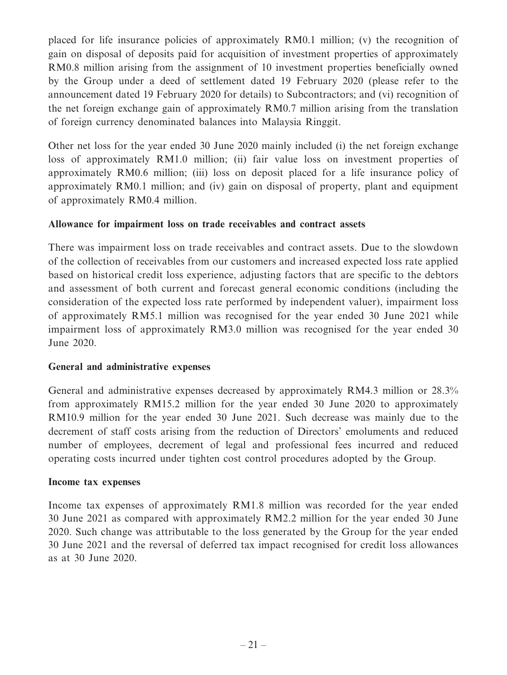placed for life insurance policies of approximately RM0.1 million; (v) the recognition of gain on disposal of deposits paid for acquisition of investment properties of approximately RM0.8 million arising from the assignment of 10 investment properties beneficially owned by the Group under a deed of settlement dated 19 February 2020 (please refer to the announcement dated 19 February 2020 for details) to Subcontractors; and (vi) recognition of the net foreign exchange gain of approximately RM0.7 million arising from the translation of foreign currency denominated balances into Malaysia Ringgit.

Other net loss for the year ended 30 June 2020 mainly included (i) the net foreign exchange loss of approximately RM1.0 million; (ii) fair value loss on investment properties of approximately RM0.6 million; (iii) loss on deposit placed for a life insurance policy of approximately RM0.1 million; and (iv) gain on disposal of property, plant and equipment of approximately RM0.4 million.

### **Allowance for impairment loss on trade receivables and contract assets**

There was impairment loss on trade receivables and contract assets. Due to the slowdown of the collection of receivables from our customers and increased expected loss rate applied based on historical credit loss experience, adjusting factors that are specific to the debtors and assessment of both current and forecast general economic conditions (including the consideration of the expected loss rate performed by independent valuer), impairment loss of approximately RM5.1 million was recognised for the year ended 30 June 2021 while impairment loss of approximately RM3.0 million was recognised for the year ended 30 June 2020.

### **General and administrative expenses**

General and administrative expenses decreased by approximately RM4.3 million or 28.3% from approximately RM15.2 million for the year ended 30 June 2020 to approximately RM10.9 million for the year ended 30 June 2021. Such decrease was mainly due to the decrement of staff costs arising from the reduction of Directors' emoluments and reduced number of employees, decrement of legal and professional fees incurred and reduced operating costs incurred under tighten cost control procedures adopted by the Group.

### **Income tax expenses**

Income tax expenses of approximately RM1.8 million was recorded for the year ended 30 June 2021 as compared with approximately RM2.2 million for the year ended 30 June 2020. Such change was attributable to the loss generated by the Group for the year ended 30 June 2021 and the reversal of deferred tax impact recognised for credit loss allowances as at 30 June 2020.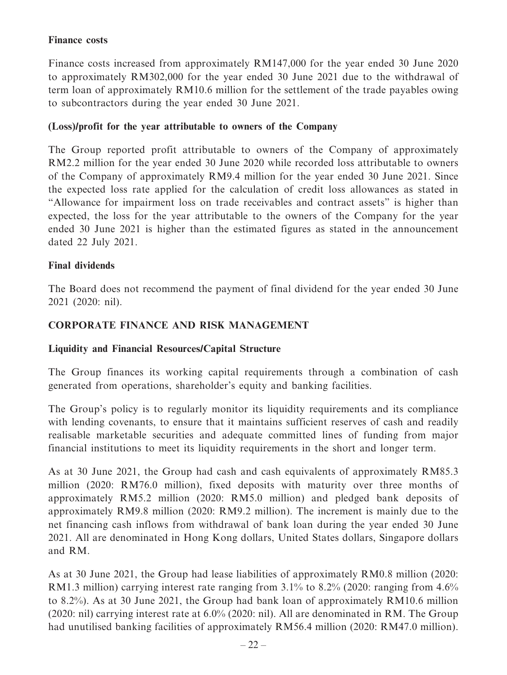### **Finance costs**

Finance costs increased from approximately RM147,000 for the year ended 30 June 2020 to approximately RM302,000 for the year ended 30 June 2021 due to the withdrawal of term loan of approximately RM10.6 million for the settlement of the trade payables owing to subcontractors during the year ended 30 June 2021.

### **(Loss)/profit for the year attributable to owners of the Company**

The Group reported profit attributable to owners of the Company of approximately RM2.2 million for the year ended 30 June 2020 while recorded loss attributable to owners of the Company of approximately RM9.4 million for the year ended 30 June 2021. Since the expected loss rate applied for the calculation of credit loss allowances as stated in "Allowance for impairment loss on trade receivables and contract assets" is higher than expected, the loss for the year attributable to the owners of the Company for the year ended 30 June 2021 is higher than the estimated figures as stated in the announcement dated 22 July 2021.

### **Final dividends**

The Board does not recommend the payment of final dividend for the year ended 30 June 2021 (2020: nil).

# **CORPORATE FINANCE AND RISK MANAGEMENT**

### **Liquidity and Financial Resources/Capital Structure**

The Group finances its working capital requirements through a combination of cash generated from operations, shareholder's equity and banking facilities.

The Group's policy is to regularly monitor its liquidity requirements and its compliance with lending covenants, to ensure that it maintains sufficient reserves of cash and readily realisable marketable securities and adequate committed lines of funding from major financial institutions to meet its liquidity requirements in the short and longer term.

As at 30 June 2021, the Group had cash and cash equivalents of approximately RM85.3 million (2020: RM76.0 million), fixed deposits with maturity over three months of approximately RM5.2 million (2020: RM5.0 million) and pledged bank deposits of approximately RM9.8 million (2020: RM9.2 million). The increment is mainly due to the net financing cash inflows from withdrawal of bank loan during the year ended 30 June 2021. All are denominated in Hong Kong dollars, United States dollars, Singapore dollars and RM.

As at 30 June 2021, the Group had lease liabilities of approximately RM0.8 million (2020: RM1.3 million) carrying interest rate ranging from 3.1% to 8.2% (2020: ranging from 4.6% to 8.2%). As at 30 June 2021, the Group had bank loan of approximately RM10.6 million (2020: nil) carrying interest rate at 6.0% (2020: nil). All are denominated in RM. The Group had unutilised banking facilities of approximately RM56.4 million (2020: RM47.0 million).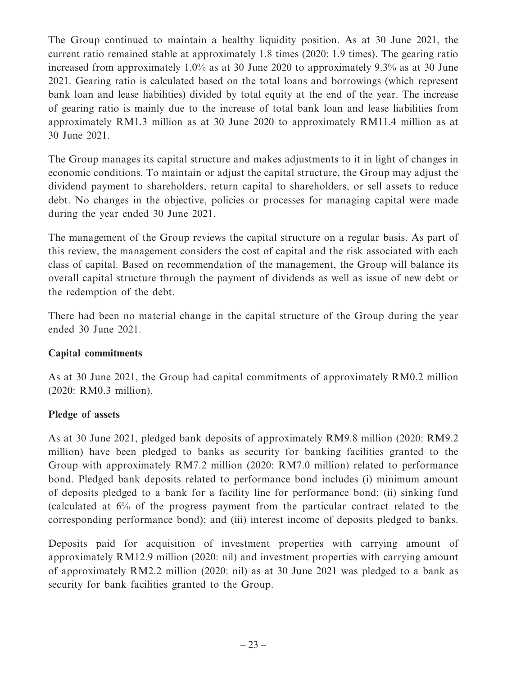The Group continued to maintain a healthy liquidity position. As at 30 June 2021, the current ratio remained stable at approximately 1.8 times (2020: 1.9 times). The gearing ratio increased from approximately 1.0% as at 30 June 2020 to approximately 9.3% as at 30 June 2021. Gearing ratio is calculated based on the total loans and borrowings (which represent bank loan and lease liabilities) divided by total equity at the end of the year. The increase of gearing ratio is mainly due to the increase of total bank loan and lease liabilities from approximately RM1.3 million as at 30 June 2020 to approximately RM11.4 million as at 30 June 2021.

The Group manages its capital structure and makes adjustments to it in light of changes in economic conditions. To maintain or adjust the capital structure, the Group may adjust the dividend payment to shareholders, return capital to shareholders, or sell assets to reduce debt. No changes in the objective, policies or processes for managing capital were made during the year ended 30 June 2021.

The management of the Group reviews the capital structure on a regular basis. As part of this review, the management considers the cost of capital and the risk associated with each class of capital. Based on recommendation of the management, the Group will balance its overall capital structure through the payment of dividends as well as issue of new debt or the redemption of the debt.

There had been no material change in the capital structure of the Group during the year ended 30 June 2021.

# **Capital commitments**

As at 30 June 2021, the Group had capital commitments of approximately RM0.2 million (2020: RM0.3 million).

### **Pledge of assets**

As at 30 June 2021, pledged bank deposits of approximately RM9.8 million (2020: RM9.2 million) have been pledged to banks as security for banking facilities granted to the Group with approximately RM7.2 million (2020: RM7.0 million) related to performance bond. Pledged bank deposits related to performance bond includes (i) minimum amount of deposits pledged to a bank for a facility line for performance bond; (ii) sinking fund (calculated at 6% of the progress payment from the particular contract related to the corresponding performance bond); and (iii) interest income of deposits pledged to banks.

Deposits paid for acquisition of investment properties with carrying amount of approximately RM12.9 million (2020: nil) and investment properties with carrying amount of approximately RM2.2 million (2020: nil) as at 30 June 2021 was pledged to a bank as security for bank facilities granted to the Group.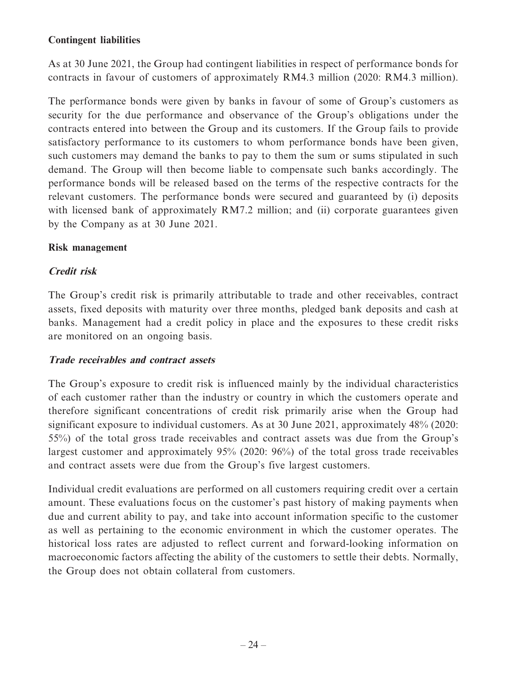As at 30 June 2021, the Group had contingent liabilities in respect of performance bonds for contracts in favour of customers of approximately RM4.3 million (2020: RM4.3 million).

The performance bonds were given by banks in favour of some of Group's customers as security for the due performance and observance of the Group's obligations under the contracts entered into between the Group and its customers. If the Group fails to provide satisfactory performance to its customers to whom performance bonds have been given, such customers may demand the banks to pay to them the sum or sums stipulated in such demand. The Group will then become liable to compensate such banks accordingly. The performance bonds will be released based on the terms of the respective contracts for the relevant customers. The performance bonds were secured and guaranteed by (i) deposits with licensed bank of approximately RM7.2 million; and (ii) corporate guarantees given by the Company as at 30 June 2021.

# **Risk management**

# **Credit risk**

The Group's credit risk is primarily attributable to trade and other receivables, contract assets, fixed deposits with maturity over three months, pledged bank deposits and cash at banks. Management had a credit policy in place and the exposures to these credit risks are monitored on an ongoing basis.

### **Trade receivables and contract assets**

The Group's exposure to credit risk is influenced mainly by the individual characteristics of each customer rather than the industry or country in which the customers operate and therefore significant concentrations of credit risk primarily arise when the Group had significant exposure to individual customers. As at 30 June 2021, approximately 48% (2020: 55%) of the total gross trade receivables and contract assets was due from the Group's largest customer and approximately 95% (2020: 96%) of the total gross trade receivables and contract assets were due from the Group's five largest customers.

Individual credit evaluations are performed on all customers requiring credit over a certain amount. These evaluations focus on the customer's past history of making payments when due and current ability to pay, and take into account information specific to the customer as well as pertaining to the economic environment in which the customer operates. The historical loss rates are adjusted to reflect current and forward-looking information on macroeconomic factors affecting the ability of the customers to settle their debts. Normally, the Group does not obtain collateral from customers.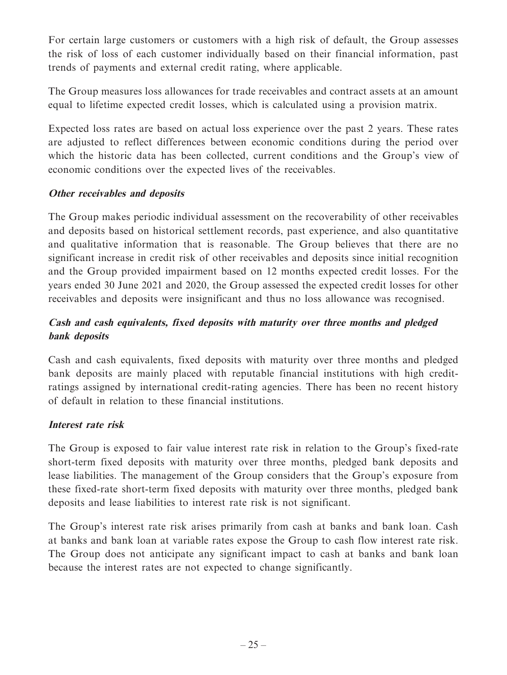For certain large customers or customers with a high risk of default, the Group assesses the risk of loss of each customer individually based on their financial information, past trends of payments and external credit rating, where applicable.

The Group measures loss allowances for trade receivables and contract assets at an amount equal to lifetime expected credit losses, which is calculated using a provision matrix.

Expected loss rates are based on actual loss experience over the past 2 years. These rates are adjusted to reflect differences between economic conditions during the period over which the historic data has been collected, current conditions and the Group's view of economic conditions over the expected lives of the receivables.

# **Other receivables and deposits**

The Group makes periodic individual assessment on the recoverability of other receivables and deposits based on historical settlement records, past experience, and also quantitative and qualitative information that is reasonable. The Group believes that there are no significant increase in credit risk of other receivables and deposits since initial recognition and the Group provided impairment based on 12 months expected credit losses. For the years ended 30 June 2021 and 2020, the Group assessed the expected credit losses for other receivables and deposits were insignificant and thus no loss allowance was recognised.

# **Cash and cash equivalents, fixed deposits with maturity over three months and pledged bank deposits**

Cash and cash equivalents, fixed deposits with maturity over three months and pledged bank deposits are mainly placed with reputable financial institutions with high creditratings assigned by international credit-rating agencies. There has been no recent history of default in relation to these financial institutions.

# **Interest rate risk**

The Group is exposed to fair value interest rate risk in relation to the Group's fixed-rate short-term fixed deposits with maturity over three months, pledged bank deposits and lease liabilities. The management of the Group considers that the Group's exposure from these fixed-rate short-term fixed deposits with maturity over three months, pledged bank deposits and lease liabilities to interest rate risk is not significant.

The Group's interest rate risk arises primarily from cash at banks and bank loan. Cash at banks and bank loan at variable rates expose the Group to cash flow interest rate risk. The Group does not anticipate any significant impact to cash at banks and bank loan because the interest rates are not expected to change significantly.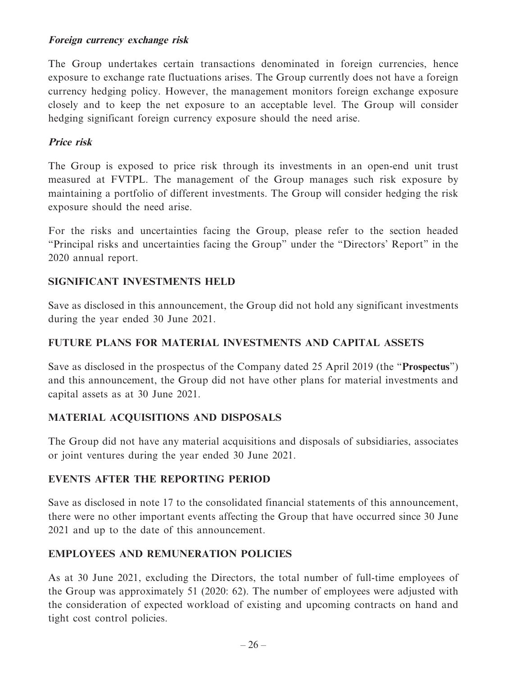### **Foreign currency exchange risk**

The Group undertakes certain transactions denominated in foreign currencies, hence exposure to exchange rate fluctuations arises. The Group currently does not have a foreign currency hedging policy. However, the management monitors foreign exchange exposure closely and to keep the net exposure to an acceptable level. The Group will consider hedging significant foreign currency exposure should the need arise.

# **Price risk**

The Group is exposed to price risk through its investments in an open-end unit trust measured at FVTPL. The management of the Group manages such risk exposure by maintaining a portfolio of different investments. The Group will consider hedging the risk exposure should the need arise.

For the risks and uncertainties facing the Group, please refer to the section headed "Principal risks and uncertainties facing the Group" under the "Directors' Report" in the 2020 annual report.

### **SIGNIFICANT INVESTMENTS HELD**

Save as disclosed in this announcement, the Group did not hold any significant investments during the year ended 30 June 2021.

### **FUTURE PLANS FOR MATERIAL INVESTMENTS AND CAPITAL ASSETS**

Save as disclosed in the prospectus of the Company dated 25 April 2019 (the "**Prospectus**") and this announcement, the Group did not have other plans for material investments and capital assets as at 30 June 2021.

# **MATERIAL ACQUISITIONS AND DISPOSALS**

The Group did not have any material acquisitions and disposals of subsidiaries, associates or joint ventures during the year ended 30 June 2021.

### **EVENTS AFTER THE REPORTING PERIOD**

Save as disclosed in note 17 to the consolidated financial statements of this announcement, there were no other important events affecting the Group that have occurred since 30 June 2021 and up to the date of this announcement.

### **EMPLOYEES AND REMUNERATION POLICIES**

As at 30 June 2021, excluding the Directors, the total number of full-time employees of the Group was approximately 51 (2020: 62). The number of employees were adjusted with the consideration of expected workload of existing and upcoming contracts on hand and tight cost control policies.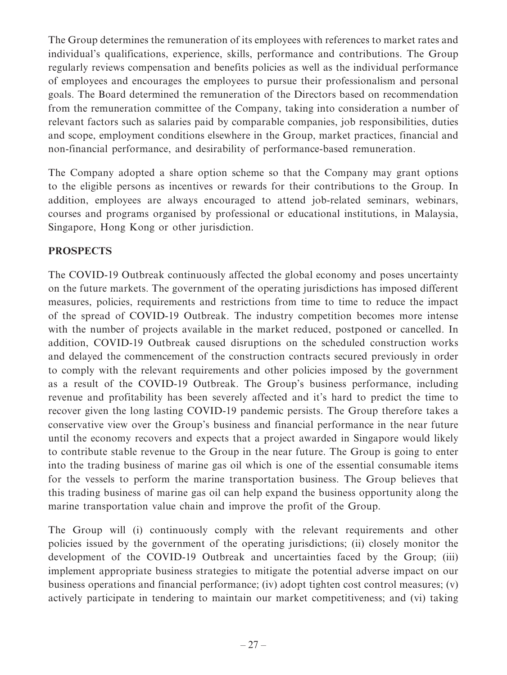The Group determines the remuneration of its employees with references to market rates and individual's qualifications, experience, skills, performance and contributions. The Group regularly reviews compensation and benefits policies as well as the individual performance of employees and encourages the employees to pursue their professionalism and personal goals. The Board determined the remuneration of the Directors based on recommendation from the remuneration committee of the Company, taking into consideration a number of relevant factors such as salaries paid by comparable companies, job responsibilities, duties and scope, employment conditions elsewhere in the Group, market practices, financial and non-financial performance, and desirability of performance-based remuneration.

The Company adopted a share option scheme so that the Company may grant options to the eligible persons as incentives or rewards for their contributions to the Group. In addition, employees are always encouraged to attend job-related seminars, webinars, courses and programs organised by professional or educational institutions, in Malaysia, Singapore, Hong Kong or other jurisdiction.

# **PROSPECTS**

The COVID-19 Outbreak continuously affected the global economy and poses uncertainty on the future markets. The government of the operating jurisdictions has imposed different measures, policies, requirements and restrictions from time to time to reduce the impact of the spread of COVID-19 Outbreak. The industry competition becomes more intense with the number of projects available in the market reduced, postponed or cancelled. In addition, COVID-19 Outbreak caused disruptions on the scheduled construction works and delayed the commencement of the construction contracts secured previously in order to comply with the relevant requirements and other policies imposed by the government as a result of the COVID-19 Outbreak. The Group's business performance, including revenue and profitability has been severely affected and it's hard to predict the time to recover given the long lasting COVID-19 pandemic persists. The Group therefore takes a conservative view over the Group's business and financial performance in the near future until the economy recovers and expects that a project awarded in Singapore would likely to contribute stable revenue to the Group in the near future. The Group is going to enter into the trading business of marine gas oil which is one of the essential consumable items for the vessels to perform the marine transportation business. The Group believes that this trading business of marine gas oil can help expand the business opportunity along the marine transportation value chain and improve the profit of the Group.

The Group will (i) continuously comply with the relevant requirements and other policies issued by the government of the operating jurisdictions; (ii) closely monitor the development of the COVID-19 Outbreak and uncertainties faced by the Group; (iii) implement appropriate business strategies to mitigate the potential adverse impact on our business operations and financial performance; (iv) adopt tighten cost control measures; (v) actively participate in tendering to maintain our market competitiveness; and (vi) taking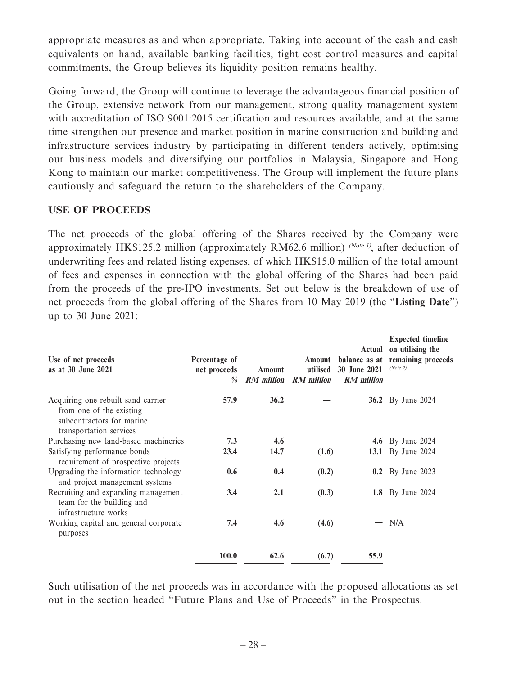appropriate measures as and when appropriate. Taking into account of the cash and cash equivalents on hand, available banking facilities, tight cost control measures and capital commitments, the Group believes its liquidity position remains healthy.

Going forward, the Group will continue to leverage the advantageous financial position of the Group, extensive network from our management, strong quality management system with accreditation of ISO 9001:2015 certification and resources available, and at the same time strengthen our presence and market position in marine construction and building and infrastructure services industry by participating in different tenders actively, optimising our business models and diversifying our portfolios in Malaysia, Singapore and Hong Kong to maintain our market competitiveness. The Group will implement the future plans cautiously and safeguard the return to the shareholders of the Company.

### **USE OF PROCEEDS**

The net proceeds of the global offering of the Shares received by the Company were approximately HK\$125.2 million (approximately RM62.6 million) (Note 1), after deduction of underwriting fees and related listing expenses, of which HK\$15.0 million of the total amount of fees and expenses in connection with the global offering of the Shares had been paid from the proceeds of the pre-IPO investments. Set out below is the breakdown of use of net proceeds from the global offering of the Shares from 10 May 2019 (the "**Listing Date**") up to 30 June 2021:

| Use of net proceeds<br>as at 30 June 2021                                                                              | Percentage of<br>net proceeds<br>$\frac{0}{a}$ | Amount<br><b>RM</b> million | Amount<br>utilised<br><b>RM</b> million | Actual<br>30 June 2021<br><b>RM</b> million | <b>Expected timeline</b><br>on utilising the<br>balance as at remaining proceeds<br>(Note 2) |
|------------------------------------------------------------------------------------------------------------------------|------------------------------------------------|-----------------------------|-----------------------------------------|---------------------------------------------|----------------------------------------------------------------------------------------------|
| Acquiring one rebuilt sand carrier<br>from one of the existing<br>subcontractors for marine<br>transportation services | 57.9                                           | 36.2                        |                                         |                                             | <b>36.2</b> By June 2024                                                                     |
| Purchasing new land-based machineries                                                                                  | 7.3                                            | 4.6                         |                                         |                                             | <b>4.6</b> By June 2024                                                                      |
| Satisfying performance bonds<br>requirement of prospective projects                                                    | 23.4                                           | 14.7                        | (1.6)                                   |                                             | 13.1 By June 2024                                                                            |
| Upgrading the information technology<br>and project management systems                                                 | 0.6                                            | 0.4                         | (0.2)                                   |                                             | <b>0.2</b> By June 2023                                                                      |
| Recruiting and expanding management<br>team for the building and<br>infrastructure works                               | 3.4                                            | 2.1                         | (0.3)                                   |                                             | <b>1.8</b> By June 2024                                                                      |
| Working capital and general corporate<br>purposes                                                                      | 7.4                                            | 4.6                         | (4.6)                                   |                                             | N/A                                                                                          |
|                                                                                                                        | 100.0                                          | 62.6                        | (6.7)                                   | 55.9                                        |                                                                                              |
|                                                                                                                        |                                                |                             |                                         |                                             |                                                                                              |

Such utilisation of the net proceeds was in accordance with the proposed allocations as set out in the section headed "Future Plans and Use of Proceeds" in the Prospectus.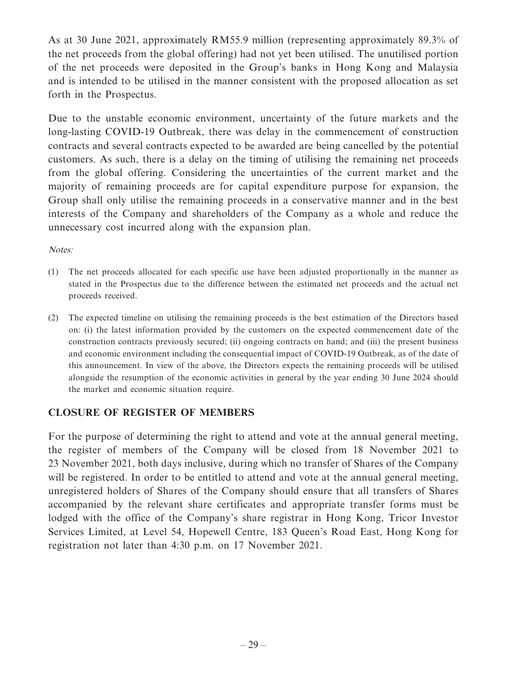As at 30 June 2021, approximately RM55.9 million (representing approximately 89.3% of the net proceeds from the global offering) had not yet been utilised. The unutilised portion of the net proceeds were deposited in the Group's banks in Hong Kong and Malaysia and is intended to be utilised in the manner consistent with the proposed allocation as set forth in the Prospectus.

Due to the unstable economic environment, uncertainty of the future markets and the long-lasting COVID-19 Outbreak, there was delay in the commencement of construction contracts and several contracts expected to be awarded are being cancelled by the potential customers. As such, there is a delay on the timing of utilising the remaining net proceeds from the global offering. Considering the uncertainties of the current market and the majority of remaining proceeds are for capital expenditure purpose for expansion, the Group shall only utilise the remaining proceeds in a conservative manner and in the best interests of the Company and shareholders of the Company as a whole and reduce the unnecessary cost incurred along with the expansion plan.

#### Notes:

- (1) The net proceeds allocated for each specific use have been adjusted proportionally in the manner as stated in the Prospectus due to the difference between the estimated net proceeds and the actual net proceeds received.
- (2) The expected timeline on utilising the remaining proceeds is the best estimation of the Directors based on: (i) the latest information provided by the customers on the expected commencement date of the construction contracts previously secured; (ii) ongoing contracts on hand; and (iii) the present business and economic environment including the consequential impact of COVID-19 Outbreak, as of the date of this announcement. In view of the above, the Directors expects the remaining proceeds will be utilised alongside the resumption of the economic activities in general by the year ending 30 June 2024 should the market and economic situation require.

# **CLOSURE OF REGISTER OF MEMBERS**

For the purpose of determining the right to attend and vote at the annual general meeting, the register of members of the Company will be closed from 18 November 2021 to 23 November 2021, both days inclusive, during which no transfer of Shares of the Company will be registered. In order to be entitled to attend and vote at the annual general meeting, unregistered holders of Shares of the Company should ensure that all transfers of Shares accompanied by the relevant share certificates and appropriate transfer forms must be lodged with the office of the Company's share registrar in Hong Kong, Tricor Investor Services Limited, at Level 54, Hopewell Centre, 183 Queen's Road East, Hong Kong for registration not later than 4:30 p.m. on 17 November 2021.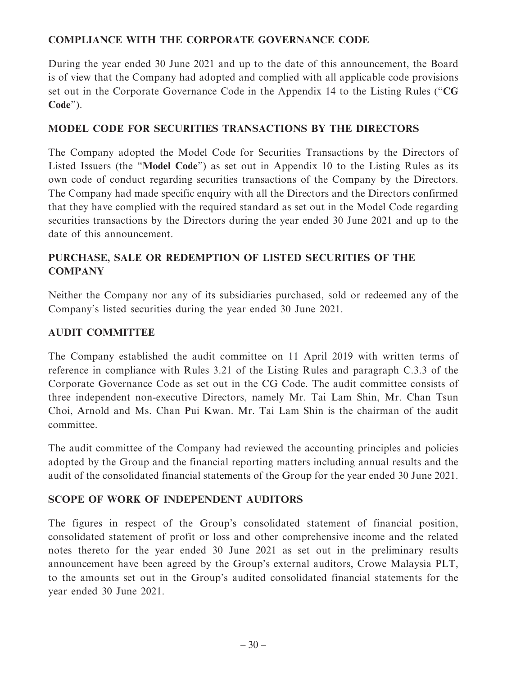# **COMPLIANCE WITH THE CORPORATE GOVERNANCE CODE**

During the year ended 30 June 2021 and up to the date of this announcement, the Board is of view that the Company had adopted and complied with all applicable code provisions set out in the Corporate Governance Code in the Appendix 14 to the Listing Rules ("**CG Code**").

# **MODEL CODE FOR SECURITIES TRANSACTIONS BY THE DIRECTORS**

The Company adopted the Model Code for Securities Transactions by the Directors of Listed Issuers (the "**Model Code**") as set out in Appendix 10 to the Listing Rules as its own code of conduct regarding securities transactions of the Company by the Directors. The Company had made specific enquiry with all the Directors and the Directors confirmed that they have complied with the required standard as set out in the Model Code regarding securities transactions by the Directors during the year ended 30 June 2021 and up to the date of this announcement.

# **PURCHASE, SALE OR REDEMPTION OF LISTED SECURITIES OF THE COMPANY**

Neither the Company nor any of its subsidiaries purchased, sold or redeemed any of the Company's listed securities during the year ended 30 June 2021.

# **AUDIT COMMITTEE**

The Company established the audit committee on 11 April 2019 with written terms of reference in compliance with Rules 3.21 of the Listing Rules and paragraph C.3.3 of the Corporate Governance Code as set out in the CG Code. The audit committee consists of three independent non-executive Directors, namely Mr. Tai Lam Shin, Mr. Chan Tsun Choi, Arnold and Ms. Chan Pui Kwan. Mr. Tai Lam Shin is the chairman of the audit committee.

The audit committee of the Company had reviewed the accounting principles and policies adopted by the Group and the financial reporting matters including annual results and the audit of the consolidated financial statements of the Group for the year ended 30 June 2021.

# **SCOPE OF WORK OF INDEPENDENT AUDITORS**

The figures in respect of the Group's consolidated statement of financial position, consolidated statement of profit or loss and other comprehensive income and the related notes thereto for the year ended 30 June 2021 as set out in the preliminary results announcement have been agreed by the Group's external auditors, Crowe Malaysia PLT, to the amounts set out in the Group's audited consolidated financial statements for the year ended 30 June 2021.